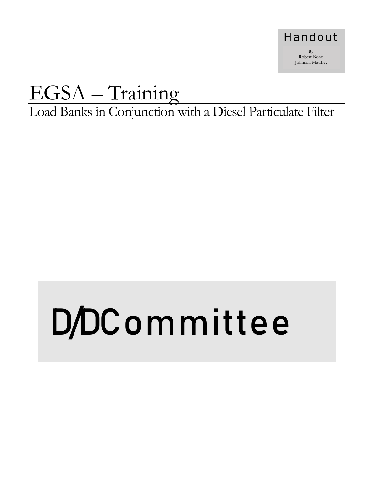

# EGSA – Training

Load Banks in Conjunction with a Diesel Particulate Filter

# D/DCommittee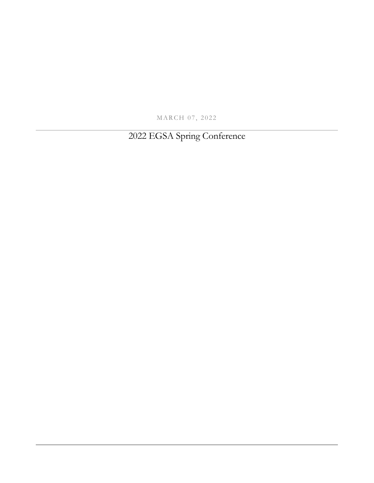MARCH 07, 2022

2022 EGSA Spring Conference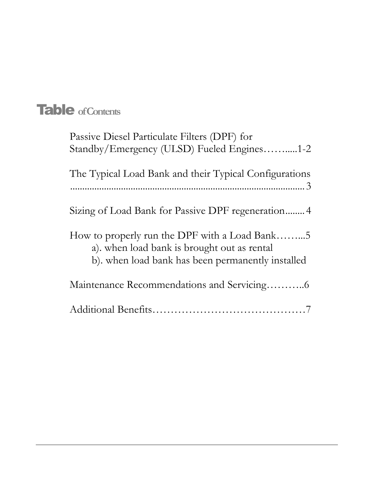# Table **of Contents**

| Passive Diesel Particulate Filters (DPF) for<br>Standby/Emergency (ULSD) Fueled Engines1-2                                                        |
|---------------------------------------------------------------------------------------------------------------------------------------------------|
| The Typical Load Bank and their Typical Configurations                                                                                            |
| Sizing of Load Bank for Passive DPF regeneration 4                                                                                                |
| How to properly run the DPF with a Load Bank5<br>a). when load bank is brought out as rental<br>b). when load bank has been permanently installed |
|                                                                                                                                                   |
|                                                                                                                                                   |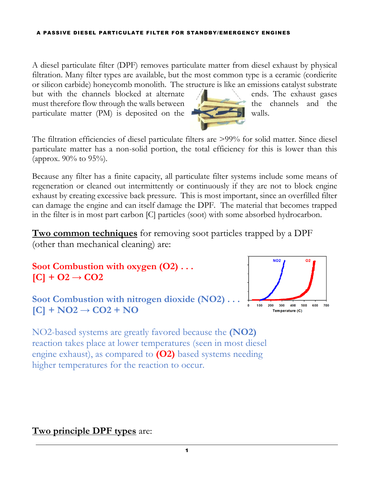#### A PASSIVE DIESEL PARTICULATE FILTER FOR STANDBY/EMERGENCY ENGINES

A diesel particulate filter (DPF) removes particulate matter from diesel exhaust by physical filtration. Many filter types are available, but the most common type is a ceramic (cordierite or silicon carbide) honeycomb monolith. The structure is like an emissions catalyst substrate

but with the channels blocked at alternate **the ends**. The exhaust gases must therefore flow through the walls between the channels and the particulate matter  $(PM)$  is deposited on the walls.



The filtration efficiencies of diesel particulate filters are >99% for solid matter. Since diesel particulate matter has a non-solid portion, the total efficiency for this is lower than this (approx. 90% to 95%).

Because any filter has a finite capacity, all particulate filter systems include some means of regeneration or cleaned out intermittently or continuously if they are not to block engine exhaust by creating excessive back pressure. This is most important, since an overfilled filter can damage the engine and can itself damage the DPF. The material that becomes trapped in the filter is in most part carbon [C] particles (soot) with some absorbed hydrocarbon.

**Two common techniques** for removing soot particles trapped by a DPF (other than mechanical cleaning) are:

**Soot Combustion with oxygen (O2) . . .**   $[C] + O2 \rightarrow CO2$ 

Soot Combustion with nitrogen dioxide (NO2).  $[C]$  + NO2  $\rightarrow$  CO2 + NO



NO2-based systems are greatly favored because the **(NO2)** reaction takes place at lower temperatures (seen in most diesel engine exhaust), as compared to **(O2)** based systems needing higher temperatures for the reaction to occur.

### **Two principle DPF types** are: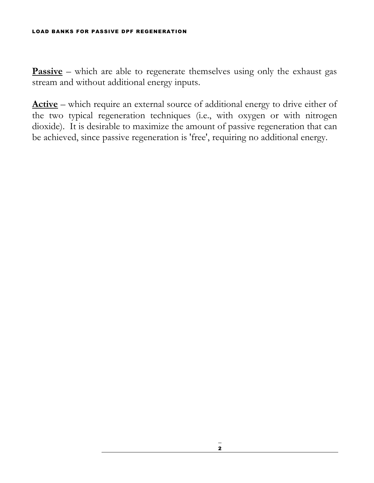#### LOAD BANKS FOR PASSIVE DPF REGENERATION

**Passive** – which are able to regenerate themselves using only the exhaust gas stream and without additional energy inputs.

**Active** – which require an external source of additional energy to drive either of the two typical regeneration techniques (i.e., with oxygen or with nitrogen dioxide). It is desirable to maximize the amount of passive regeneration that can be achieved, since passive regeneration is 'free', requiring no additional energy.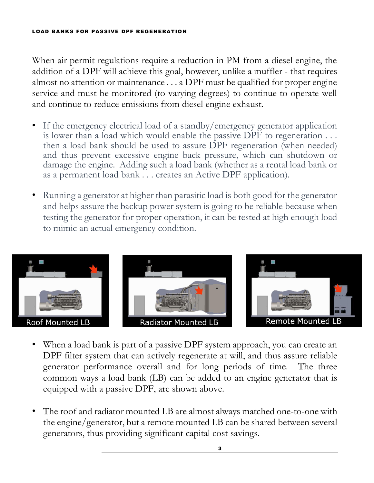#### LOAD BANKS FOR PASSIVE DPF REGENERATION

When air permit regulations require a reduction in PM from a diesel engine, the addition of a DPF will achieve this goal, however, unlike a muffler - that requires almost no attention or maintenance . . . a DPF must be qualified for proper engine service and must be monitored (to varying degrees) to continue to operate well and continue to reduce emissions from diesel engine exhaust.

- If the emergency electrical load of a standby/emergency generator application is lower than a load which would enable the passive DPF to regeneration . . . then a load bank should be used to assure DPF regeneration (when needed) and thus prevent excessive engine back pressure, which can shutdown or damage the engine. Adding such a load bank (whether as a rental load bank or as a permanent load bank . . . creates an Active DPF application).
- Running a generator at higher than parasitic load is both good for the generator and helps assure the backup power system is going to be reliable because when testing the generator for proper operation, it can be tested at high enough load to mimic an actual emergency condition.



- When a load bank is part of a passive DPF system approach, you can create an DPF filter system that can actively regenerate at will, and thus assure reliable generator performance overall and for long periods of time. The three common ways a load bank (LB) can be added to an engine generator that is equipped with a passive DPF, are shown above.
- The roof and radiator mounted LB are almost always matched one-to-one with the engine/generator, but a remote mounted LB can be shared between several generators, thus providing significant capital cost savings.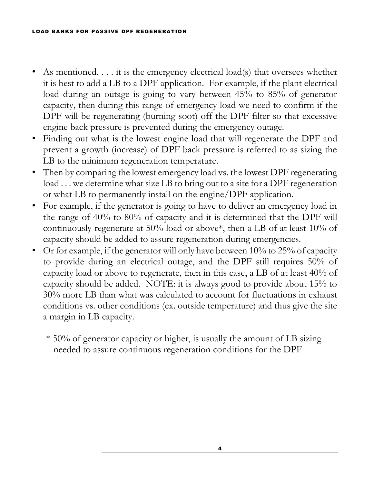#### LOAD BANKS FOR PASSIVE DPF REGENERATION

- As mentioned, . . . it is the emergency electrical load(s) that oversees whether it is best to add a LB to a DPF application. For example, if the plant electrical load during an outage is going to vary between 45% to 85% of generator capacity, then during this range of emergency load we need to confirm if the DPF will be regenerating (burning soot) off the DPF filter so that excessive engine back pressure is prevented during the emergency outage.
- Finding out what is the lowest engine load that will regenerate the DPF and prevent a growth (increase) of DPF back pressure is referred to as sizing the LB to the minimum regeneration temperature.
- Then by comparing the lowest emergency load vs. the lowest DPF regenerating load ... we determine what size LB to bring out to a site for a DPF regeneration or what LB to permanently install on the engine/DPF application.
- For example, if the generator is going to have to deliver an emergency load in the range of 40% to 80% of capacity and it is determined that the DPF will continuously regenerate at 50% load or above\*, then a LB of at least 10% of capacity should be added to assure regeneration during emergencies.
- Or for example, if the generator will only have between 10% to 25% of capacity to provide during an electrical outage, and the DPF still requires 50% of capacity load or above to regenerate, then in this case, a LB of at least 40% of capacity should be added. NOTE: it is always good to provide about 15% to 30% more LB than what was calculated to account for fluctuations in exhaust conditions vs. other conditions (ex. outside temperature) and thus give the site a margin in LB capacity.
	- \* 50% of generator capacity or higher, is usually the amount of LB sizing needed to assure continuous regeneration conditions for the DPF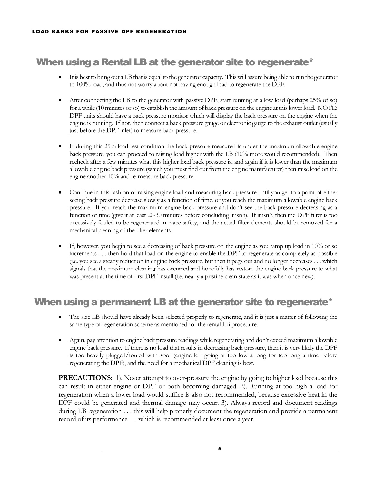# When using a Rental LB at the generator site to regenerate\*

- It is best to bring out a LB that is equal to the generator capacity. This will assure being able to run the generator to 100% load, and thus not worry about not having enough load to regenerate the DPF.
- After connecting the LB to the generator with passive DPF, start running at a low load (perhaps 25% of so) for a while (10 minutes or so) to establish the amount of back pressure on the engine at this lower load. NOTE: DPF units should have a back pressure monitor which will display the back pressure on the engine when the engine is running. If not, then connect a back pressure gauge or electronic gauge to the exhaust outlet (usually just before the DPF inlet) to measure back pressure.
- If during this 25% load test condition the back pressure measured is under the maximum allowable engine back pressure, you can proceed to raising load higher with the LB (10% more would recommended). Then recheck after a few minutes what this higher load back pressure is, and again if it is lower than the maximum allowable engine back pressure (which you must find out from the engine manufacturer) then raise load on the engine another 10% and re-measure back pressure.
- Continue in this fashion of raising engine load and measuring back pressure until you get to a point of either seeing back pressure decrease slowly as a function of time, or you reach the maximum allowable engine back pressure. If you reach the maximum engine back pressure and don't see the back pressure decreasing as a function of time (give it at least 20-30 minutes before concluding it isn't). If it isn't, then the DPF filter is too excessively fouled to be regenerated in-place safety, and the actual filter elements should be removed for a mechanical cleaning of the filter elements.
- If, however, you begin to see a decreasing of back pressure on the engine as you ramp up load in 10% or so increments . . . then hold that load on the engine to enable the DPF to regenerate as completely as possible (i.e. you see a steady reduction in engine back pressure, but then it pegs out and no longer decreases . . . which signals that the maximum cleaning has occurred and hopefully has restore the engine back pressure to what was present at the time of first DPF install (i.e. nearly a pristine clean state as it was when once new).

## When using a permanent LB at the generator site to regenerate\*

- The size LB should have already been selected properly to regenerate, and it is just a matter of following the same type of regeneration scheme as mentioned for the rental LB procedure.
- Again, pay attention to engine back pressure readings while regenerating and don't exceed maximum allowable engine back pressure. If there is no load that results in decreasing back pressure, then it is very likely the DPF is too heavily plugged/fouled with soot (engine left going at too low a long for too long a time before regenerating the DPF), and the need for a mechanical DPF cleaning is best.

**PRECAUTIONS**: 1). Never attempt to over-pressure the engine by going to higher load because this can result in either engine or DPF or both becoming damaged. 2). Running at too high a load for regeneration when a lower load would suffice is also not recommended, because excessive heat in the DPF could be generated and thermal damage may occur. 3). Always record and document readings during LB regeneration . . . this will help properly document the regeneration and provide a permanent record of its performance . . . which is recommended at least once a year.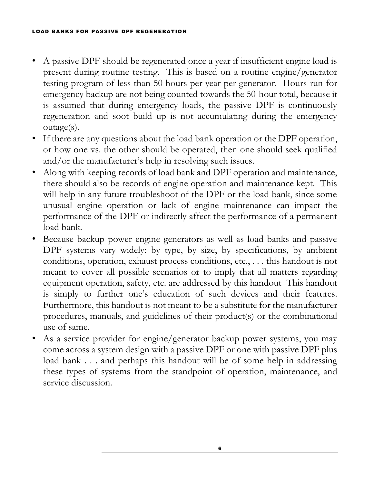- A passive DPF should be regenerated once a year if insufficient engine load is present during routine testing. This is based on a routine engine/generator testing program of less than 50 hours per year per generator. Hours run for emergency backup are not being counted towards the 50-hour total, because it is assumed that during emergency loads, the passive DPF is continuously regeneration and soot build up is not accumulating during the emergency outage(s).
- If there are any questions about the load bank operation or the DPF operation, or how one vs. the other should be operated, then one should seek qualified and/or the manufacturer's help in resolving such issues.
- Along with keeping records of load bank and DPF operation and maintenance, there should also be records of engine operation and maintenance kept. This will help in any future troubleshoot of the DPF or the load bank, since some unusual engine operation or lack of engine maintenance can impact the performance of the DPF or indirectly affect the performance of a permanent load bank.
- Because backup power engine generators as well as load banks and passive DPF systems vary widely: by type, by size, by specifications, by ambient conditions, operation, exhaust process conditions, etc., . . . this handout is not meant to cover all possible scenarios or to imply that all matters regarding equipment operation, safety, etc. are addressed by this handout This handout is simply to further one's education of such devices and their features. Furthermore, this handout is not meant to be a substitute for the manufacturer procedures, manuals, and guidelines of their product(s) or the combinational use of same.
- As a service provider for engine/generator backup power systems, you may come across a system design with a passive DPF or one with passive DPF plus load bank . . . and perhaps this handout will be of some help in addressing these types of systems from the standpoint of operation, maintenance, and service discussion.

6